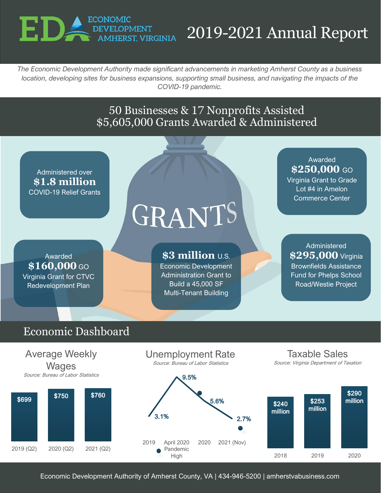

# 2019-2021 Annual Report

*The Economic Development Authority made significant advancements in marketing Amherst County as a business location, developing sites for business expansions, supporting small business, and navigating the impacts of the COVID-19 pandemic.*

#### 50 Businesses & 17 Nonprofits Assisted \$5,605,000 Grants Awarded & Administered

Administered over **\$1.8 million** COVID-19 Relief Grants

Awarded \$160,000 GO Virginia Grant for CTVC Redevelopment Plan

# GRANTS

**\$3 million** U.S. Economic Development Administration Grant to

Build a 45,000 SF Multi-Tenant Building

Awarded \$250,000 GO Virginia Grant to Grade Lot #4 in Amelon Commerce Center

Administered **\$295,000** Virginia Brownfields Assistance Fund for Phelps School Road/Westie Project

### Economic Dashboard



Economic Development Authority of Amherst County, VA | 434-946-5200 | amherstvabusiness.com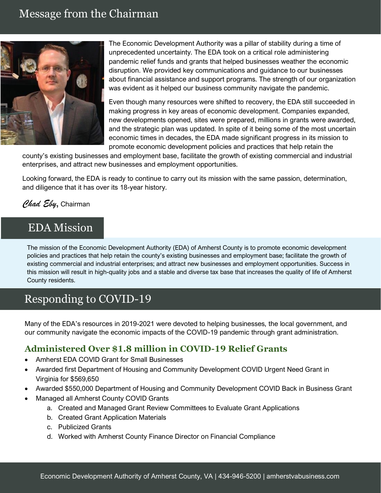#### Message from the Chairman



The Economic Development Authority was a pillar of stability during a time of unprecedented uncertainty. The EDA took on a critical role administering pandemic relief funds and grants that helped businesses weather the economic disruption. We provided key communications and guidance to our businesses about financial assistance and support programs. The strength of our organization was evident as it helped our business community navigate the pandemic.

Even though many resources were shifted to recovery, the EDA still succeeded in making progress in key areas of economic development. Companies expanded, new developments opened, sites were prepared, millions in grants were awarded, and the strategic plan was updated. In spite of it being some of the most uncertain economic times in decades, the EDA made significant progress in its mission to promote economic development policies and practices that help retain the

county's existing businesses and employment base, facilitate the growth of existing commercial and industrial enterprises, and attract new businesses and employment opportunities.

Looking forward, the EDA is ready to continue to carry out its mission with the same passion, determination, and diligence that it has over its 18-year history.

#### *Chad Eby*, Chairman

#### EDA Mission

The mission of the Economic Development Authority (EDA) of Amherst County is to promote economic development policies and practices that help retain the county's existing businesses and employment base; facilitate the growth of existing commercial and industrial enterprises; and attract new businesses and employment opportunities. Success in this mission will result in high-quality jobs and a stable and diverse tax base that increases the quality of life of Amherst County residents.

#### Responding to COVID-19

Many of the EDA's resources in 2019-2021 were devoted to helping businesses, the local government, and our community navigate the economic impacts of the COVID-19 pandemic through grant administration.

#### **Administered Over \$1.8 million in COVID-19 Relief Grants**

- Amherst EDA COVID Grant for Small Businesses
- Awarded first Department of Housing and Community Development COVID Urgent Need Grant in Virginia for \$569,650
- Awarded \$550,000 Department of Housing and Community Development COVID Back in Business Grant
- Managed all Amherst County COVID Grants
	- a. Created and Managed Grant Review Committees to Evaluate Grant Applications
	- b. Created Grant Application Materials
	- c. Publicized Grants
	- d. Worked with Amherst County Finance Director on Financial Compliance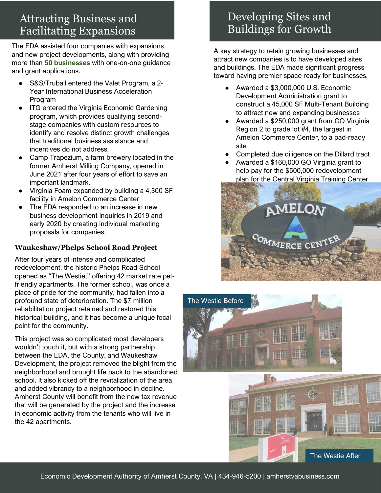## Attracting Business and Facilitating Expansions

The EDA assisted four companies with expansions and new project developments, along with providing more than **50 businesses** with one-on-one guidance and grant applications.

- S&S/Truball entered the Valet Program, a 2-Year International Business Acceleration Program
- ITG entered the Virginia Economic Gardening program, which provides qualifying secondstage companies with custom resources to identify and resolve distinct growth challenges that traditional business assistance and incentives do not address.
- Camp Trapezium, a farm brewery located in the former Amherst Milling Company, opened in June 2021 after four years of effort to save an important landmark.
- Virginia Foam expanded by building a 4,300 SF facility in Amelon Commerce Center
- The EDA responded to an increase in new business development inquiries in 2019 and early 2020 by creating individual marketing proposals for companies.

#### **Waukeshaw/Phelps School Road Project**

After four years of intense and complicated redevelopment, the historic Phelps Road School opened as "The Westie," offering 42 market rate petfriendly apartments. The former school, was once a place of pride for the community, had fallen into a profound state of deterioration. The \$7 million rehabilitation project retained and restored this historical building, and it has become a unique focal point for the community.

This project was so complicated most developers wouldn't touch it, but with a strong partnership between the EDA, the County, and Waukeshaw Development, the project removed the blight from the neighborhood and brought life back to the abandoned school. It also kicked off the revitalization of the area and added vibrancy to a neighborhood in decline. Amherst County will benefit from the new tax revenue that will be generated by the project and the increase in economic activity from the tenants who will live in the 42 apartments.

## Developing Sites and Buildings for Growth

A key strategy to retain growing businesses and attract new companies is to have developed sites and buildings. The EDA made significant progress toward having premier space ready for businesses.

- Awarded a \$3,000,000 U.S. Economic Development Administration grant to construct a 45,000 SF Multi-Tenant Building to attract new and expanding businesses
- Awarded a \$250,000 grant from GO Virginia Region 2 to grade lot #4, the largest in Amelon Commerce Center, to a pad-ready site
- Completed due diligence on the Dillard tract
- Awarded a \$160,000 GO Virginia grant to help pay for the \$500,000 redevelopment plan for the Central Virginia Training Center



The Westie After